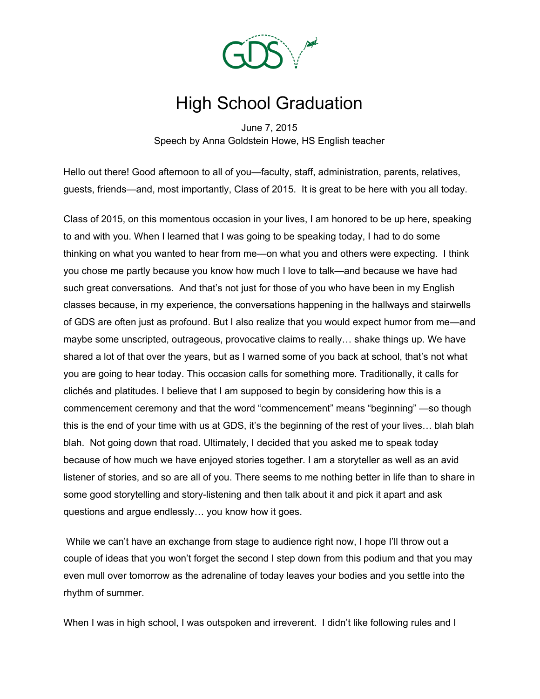

## High School Graduation

June 7, 2015 Speech by Anna Goldstein Howe, HS English teacher

Hello out there! Good afternoon to all of you—faculty, staff, administration, parents, relatives, guests, friends—and, most importantly, Class of 2015. It is great to be here with you all today.

Class of 2015, on this momentous occasion in your lives, I am honored to be up here, speaking to and with you. When I learned that I was going to be speaking today, I had to do some thinking on what you wanted to hear from me—on what you and others were expecting. I think you chose me partly because you know how much I love to talk—and because we have had such great conversations. And that's not just for those of you who have been in my English classes because, in my experience, the conversations happening in the hallways and stairwells of GDS are often just as profound. But I also realize that you would expect humor from me—and maybe some unscripted, outrageous, provocative claims to really… shake things up. We have shared a lot of that over the years, but as I warned some of you back at school, that's not what you are going to hear today. This occasion calls for something more. Traditionally, it calls for clichés and platitudes. I believe that I am supposed to begin by considering how this is a commencement ceremony and that the word "commencement" means "beginning" —so though this is the end of your time with us at GDS, it's the beginning of the rest of your lives… blah blah blah. Not going down that road. Ultimately, I decided that you asked me to speak today because of how much we have enjoyed stories together. I am a storyteller as well as an avid listener of stories, and so are all of you. There seems to me nothing better in life than to share in some good storytelling and story-listening and then talk about it and pick it apart and ask questions and argue endlessly… you know how it goes.

While we can't have an exchange from stage to audience right now, I hope I'll throw out a couple of ideas that you won't forget the second I step down from this podium and that you may even mull over tomorrow as the adrenaline of today leaves your bodies and you settle into the rhythm of summer.

When I was in high school, I was outspoken and irreverent. I didn't like following rules and I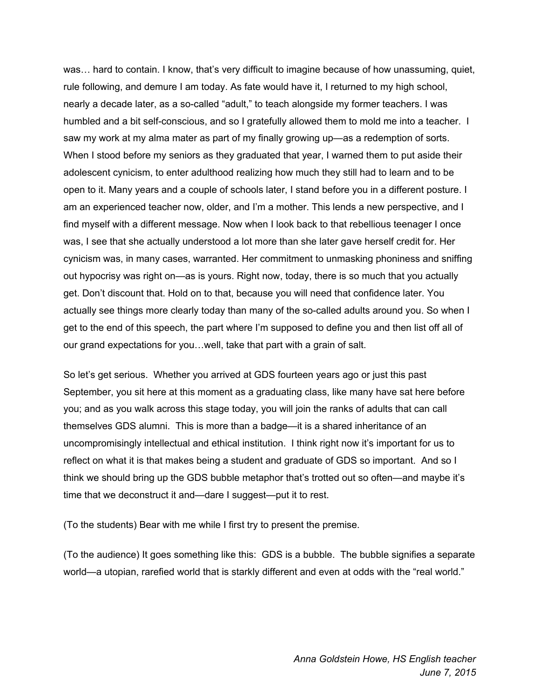was… hard to contain. I know, that's very difficult to imagine because of how unassuming, quiet, rule following, and demure I am today. As fate would have it, I returned to my high school, nearly a decade later, as a so-called "adult," to teach alongside my former teachers. I was humbled and a bit self-conscious, and so I gratefully allowed them to mold me into a teacher. I saw my work at my alma mater as part of my finally growing up—as a redemption of sorts. When I stood before my seniors as they graduated that year, I warned them to put aside their adolescent cynicism, to enter adulthood realizing how much they still had to learn and to be open to it. Many years and a couple of schools later, I stand before you in a different posture. I am an experienced teacher now, older, and I'm a mother. This lends a new perspective, and I find myself with a different message. Now when I look back to that rebellious teenager I once was, I see that she actually understood a lot more than she later gave herself credit for. Her cynicism was, in many cases, warranted. Her commitment to unmasking phoniness and sniffing out hypocrisy was right on—as is yours. Right now, today, there is so much that you actually get. Don't discount that. Hold on to that, because you will need that confidence later. You actually see things more clearly today than many of the so-called adults around you. So when I get to the end of this speech, the part where I'm supposed to define you and then list off all of our grand expectations for you…well, take that part with a grain of salt.

So let's get serious. Whether you arrived at GDS fourteen years ago or just this past September, you sit here at this moment as a graduating class, like many have sat here before you; and as you walk across this stage today, you will join the ranks of adults that can call themselves GDS alumni. This is more than a badge—it is a shared inheritance of an uncompromisingly intellectual and ethical institution. I think right now it's important for us to reflect on what it is that makes being a student and graduate of GDS so important. And so I think we should bring up the GDS bubble metaphor that's trotted out so often—and maybe it's time that we deconstruct it and—dare I suggest—put it to rest.

(To the students) Bear with me while I first try to present the premise.

(To the audience) It goes something like this: GDS is a bubble. The bubble signifies a separate world—a utopian, rarefied world that is starkly different and even at odds with the "real world."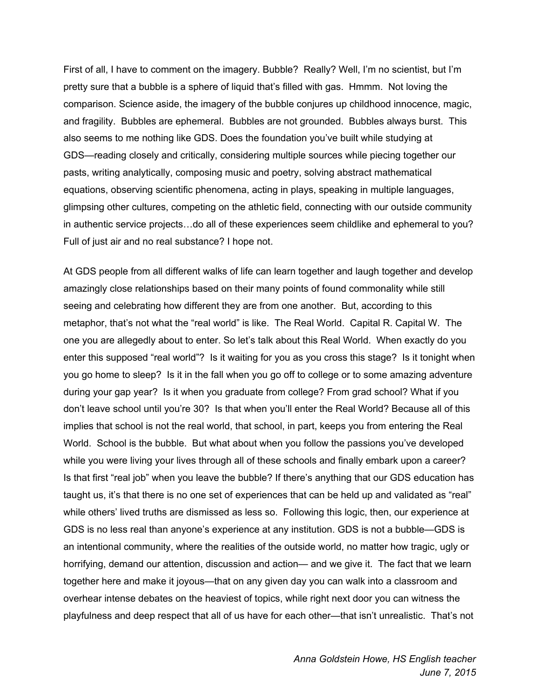First of all, I have to comment on the imagery. Bubble? Really? Well, I'm no scientist, but I'm pretty sure that a bubble is a sphere of liquid that's filled with gas. Hmmm. Not loving the comparison. Science aside, the imagery of the bubble conjures up childhood innocence, magic, and fragility. Bubbles are ephemeral. Bubbles are not grounded. Bubbles always burst. This also seems to me nothing like GDS. Does the foundation you've built while studying at GDS—reading closely and critically, considering multiple sources while piecing together our pasts, writing analytically, composing music and poetry, solving abstract mathematical equations, observing scientific phenomena, acting in plays, speaking in multiple languages, glimpsing other cultures, competing on the athletic field, connecting with our outside community in authentic service projects…do all of these experiences seem childlike and ephemeral to you? Full of just air and no real substance? I hope not.

At GDS people from all different walks of life can learn together and laugh together and develop amazingly close relationships based on their many points of found commonality while still seeing and celebrating how different they are from one another. But, according to this metaphor, that's not what the "real world" is like. The Real World. Capital R. Capital W. The one you are allegedly about to enter. So let's talk about this Real World. When exactly do you enter this supposed "real world"? Is it waiting for you as you cross this stage? Is it tonight when you go home to sleep? Is it in the fall when you go off to college or to some amazing adventure during your gap year? Is it when you graduate from college? From grad school? What if you don't leave school until you're 30? Is that when you'll enter the Real World? Because all of this implies that school is not the real world, that school, in part, keeps you from entering the Real World. School is the bubble. But what about when you follow the passions you've developed while you were living your lives through all of these schools and finally embark upon a career? Is that first "real job" when you leave the bubble? If there's anything that our GDS education has taught us, it's that there is no one set of experiences that can be held up and validated as "real" while others' lived truths are dismissed as less so. Following this logic, then, our experience at GDS is no less real than anyone's experience at any institution. GDS is not a bubble—GDS is an intentional community, where the realities of the outside world, no matter how tragic, ugly or horrifying, demand our attention, discussion and action— and we give it. The fact that we learn together here and make it joyous—that on any given day you can walk into a classroom and overhear intense debates on the heaviest of topics, while right next door you can witness the playfulness and deep respect that all of us have for each other—that isn't unrealistic. That's not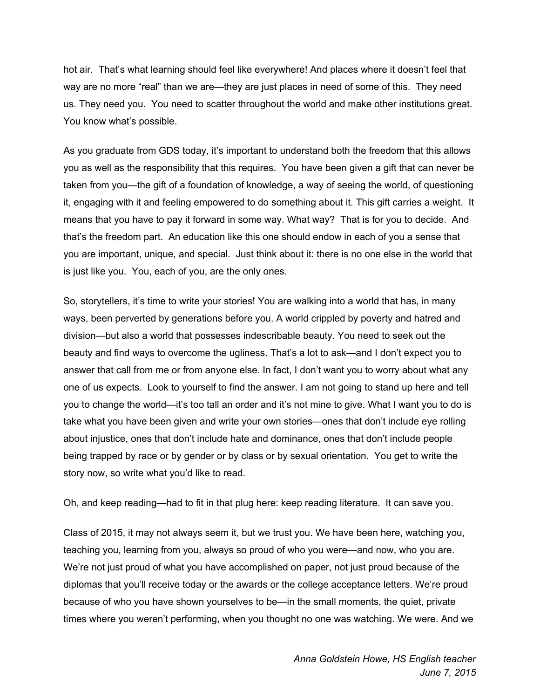hot air. That's what learning should feel like everywhere! And places where it doesn't feel that way are no more "real" than we are—they are just places in need of some of this. They need us. They need you. You need to scatter throughout the world and make other institutions great. You know what's possible.

As you graduate from GDS today, it's important to understand both the freedom that this allows you as well as the responsibility that this requires. You have been given a gift that can never be taken from you—the gift of a foundation of knowledge, a way of seeing the world, of questioning it, engaging with it and feeling empowered to do something about it. This gift carries a weight. It means that you have to pay it forward in some way. What way? That is for you to decide. And that's the freedom part. An education like this one should endow in each of you a sense that you are important, unique, and special. Just think about it: there is no one else in the world that is just like you. You, each of you, are the only ones.

So, storytellers, it's time to write your stories! You are walking into a world that has, in many ways, been perverted by generations before you. A world crippled by poverty and hatred and division—but also a world that possesses indescribable beauty. You need to seek out the beauty and find ways to overcome the ugliness. That's a lot to ask—and I don't expect you to answer that call from me or from anyone else. In fact, I don't want you to worry about what any one of us expects. Look to yourself to find the answer. I am not going to stand up here and tell you to change the world—it's too tall an order and it's not mine to give. What I want you to do is take what you have been given and write your own stories—ones that don't include eye rolling about injustice, ones that don't include hate and dominance, ones that don't include people being trapped by race or by gender or by class or by sexual orientation. You get to write the story now, so write what you'd like to read.

Oh, and keep reading—had to fit in that plug here: keep reading literature. It can save you.

Class of 2015, it may not always seem it, but we trust you. We have been here, watching you, teaching you, learning from you, always so proud of who you were—and now, who you are. We're not just proud of what you have accomplished on paper, not just proud because of the diplomas that you'll receive today or the awards or the college acceptance letters. We're proud because of who you have shown yourselves to be—in the small moments, the quiet, private times where you weren't performing, when you thought no one was watching. We were. And we